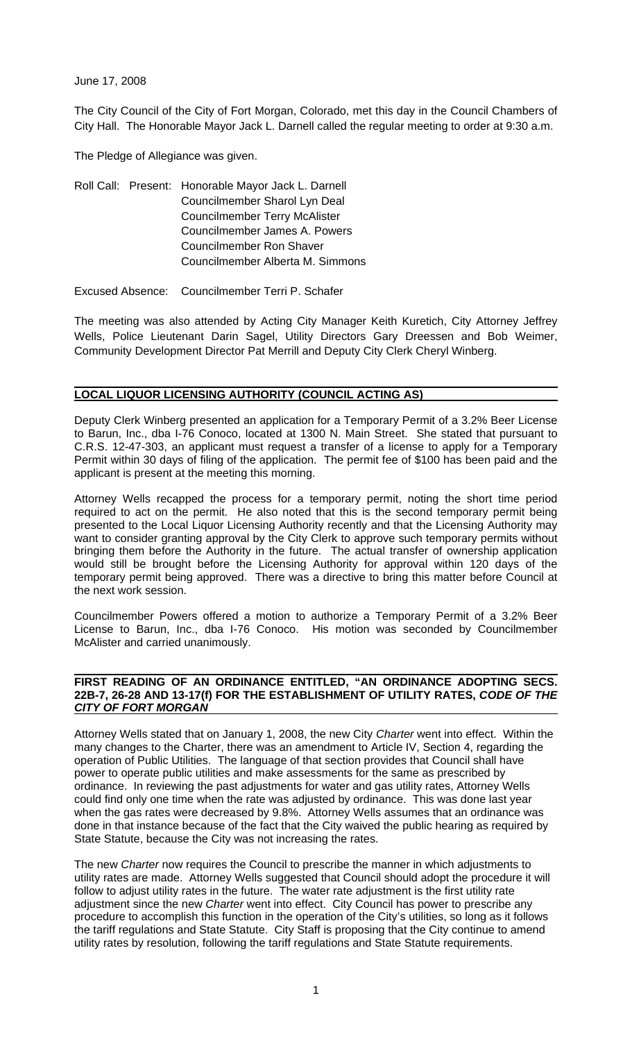June 17, 2008

The City Council of the City of Fort Morgan, Colorado, met this day in the Council Chambers of City Hall. The Honorable Mayor Jack L. Darnell called the regular meeting to order at 9:30 a.m.

The Pledge of Allegiance was given.

Roll Call: Present: Honorable Mayor Jack L. Darnell Councilmember Sharol Lyn Deal Councilmember Terry McAlister Councilmember James A. Powers Councilmember Ron Shaver Councilmember Alberta M. Simmons

Excused Absence: Councilmember Terri P. Schafer

The meeting was also attended by Acting City Manager Keith Kuretich, City Attorney Jeffrey Wells, Police Lieutenant Darin Sagel, Utility Directors Gary Dreessen and Bob Weimer, Community Development Director Pat Merrill and Deputy City Clerk Cheryl Winberg.

#### **LOCAL LIQUOR LICENSING AUTHORITY (COUNCIL ACTING AS)**

Deputy Clerk Winberg presented an application for a Temporary Permit of a 3.2% Beer License to Barun, Inc., dba I-76 Conoco, located at 1300 N. Main Street. She stated that pursuant to C.R.S. 12-47-303, an applicant must request a transfer of a license to apply for a Temporary Permit within 30 days of filing of the application. The permit fee of \$100 has been paid and the applicant is present at the meeting this morning.

Attorney Wells recapped the process for a temporary permit, noting the short time period required to act on the permit. He also noted that this is the second temporary permit being presented to the Local Liquor Licensing Authority recently and that the Licensing Authority may want to consider granting approval by the City Clerk to approve such temporary permits without bringing them before the Authority in the future. The actual transfer of ownership application would still be brought before the Licensing Authority for approval within 120 days of the temporary permit being approved. There was a directive to bring this matter before Council at the next work session.

Councilmember Powers offered a motion to authorize a Temporary Permit of a 3.2% Beer License to Barun, Inc., dba I-76 Conoco. His motion was seconded by Councilmember McAlister and carried unanimously.

#### **FIRST READING OF AN ORDINANCE ENTITLED, "AN ORDINANCE ADOPTING SECS. 22B-7, 26-28 AND 13-17(f) FOR THE ESTABLISHMENT OF UTILITY RATES,** *CODE OF THE CITY OF FORT MORGAN*

Attorney Wells stated that on January 1, 2008, the new City *Charter* went into effect. Within the many changes to the Charter, there was an amendment to Article IV, Section 4, regarding the operation of Public Utilities. The language of that section provides that Council shall have power to operate public utilities and make assessments for the same as prescribed by ordinance. In reviewing the past adjustments for water and gas utility rates, Attorney Wells could find only one time when the rate was adjusted by ordinance. This was done last year when the gas rates were decreased by 9.8%. Attorney Wells assumes that an ordinance was done in that instance because of the fact that the City waived the public hearing as required by State Statute, because the City was not increasing the rates.

The new *Charter* now requires the Council to prescribe the manner in which adjustments to utility rates are made. Attorney Wells suggested that Council should adopt the procedure it will follow to adjust utility rates in the future. The water rate adjustment is the first utility rate adjustment since the new *Charter* went into effect. City Council has power to prescribe any procedure to accomplish this function in the operation of the City's utilities, so long as it follows the tariff regulations and State Statute. City Staff is proposing that the City continue to amend utility rates by resolution, following the tariff regulations and State Statute requirements.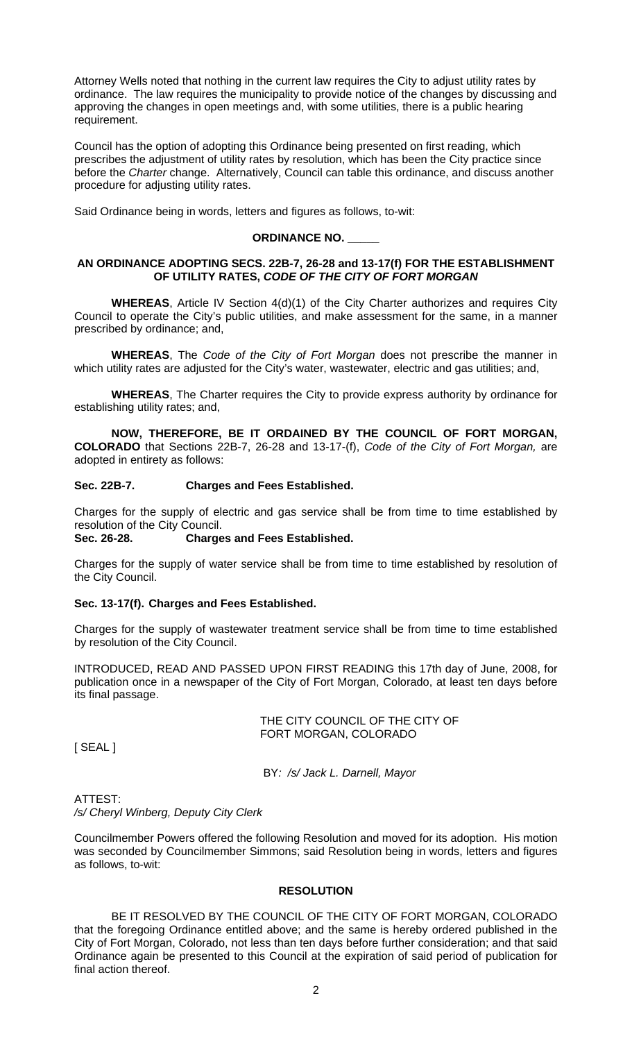Attorney Wells noted that nothing in the current law requires the City to adjust utility rates by ordinance. The law requires the municipality to provide notice of the changes by discussing and approving the changes in open meetings and, with some utilities, there is a public hearing requirement.

Council has the option of adopting this Ordinance being presented on first reading, which prescribes the adjustment of utility rates by resolution, which has been the City practice since before the *Charter* change. Alternatively, Council can table this ordinance, and discuss another procedure for adjusting utility rates.

Said Ordinance being in words, letters and figures as follows, to-wit:

# **ORDINANCE NO. \_\_\_\_\_**

# **AN ORDINANCE ADOPTING SECS. 22B-7, 26-28 and 13-17(f) FOR THE ESTABLISHMENT OF UTILITY RATES,** *CODE OF THE CITY OF FORT MORGAN*

**WHEREAS**, Article IV Section 4(d)(1) of the City Charter authorizes and requires City Council to operate the City's public utilities, and make assessment for the same, in a manner prescribed by ordinance; and,

**WHEREAS**, The *Code of the City of Fort Morgan* does not prescribe the manner in which utility rates are adjusted for the City's water, wastewater, electric and gas utilities; and,

**WHEREAS**, The Charter requires the City to provide express authority by ordinance for establishing utility rates; and,

**NOW, THEREFORE, BE IT ORDAINED BY THE COUNCIL OF FORT MORGAN, COLORADO** that Sections 22B-7, 26-28 and 13-17-(f), *Code of the City of Fort Morgan,* are adopted in entirety as follows:

# **Sec. 22B-7. Charges and Fees Established.**

Charges for the supply of electric and gas service shall be from time to time established by resolution of the City Council.

# **Sec. 26-28. Charges and Fees Established.**

Charges for the supply of water service shall be from time to time established by resolution of the City Council.

## **Sec. 13-17(f). Charges and Fees Established.**

Charges for the supply of wastewater treatment service shall be from time to time established by resolution of the City Council.

INTRODUCED, READ AND PASSED UPON FIRST READING this 17th day of June, 2008, for publication once in a newspaper of the City of Fort Morgan, Colorado, at least ten days before its final passage.

> THE CITY COUNCIL OF THE CITY OF FORT MORGAN, COLORADO

[ SEAL ]

BY*: /s/ Jack L. Darnell, Mayor* 

ATTEST:

*/s/ Cheryl Winberg, Deputy City Clerk* 

Councilmember Powers offered the following Resolution and moved for its adoption. His motion was seconded by Councilmember Simmons; said Resolution being in words, letters and figures as follows, to-wit:

## **RESOLUTION**

 BE IT RESOLVED BY THE COUNCIL OF THE CITY OF FORT MORGAN, COLORADO that the foregoing Ordinance entitled above; and the same is hereby ordered published in the City of Fort Morgan, Colorado, not less than ten days before further consideration; and that said Ordinance again be presented to this Council at the expiration of said period of publication for final action thereof.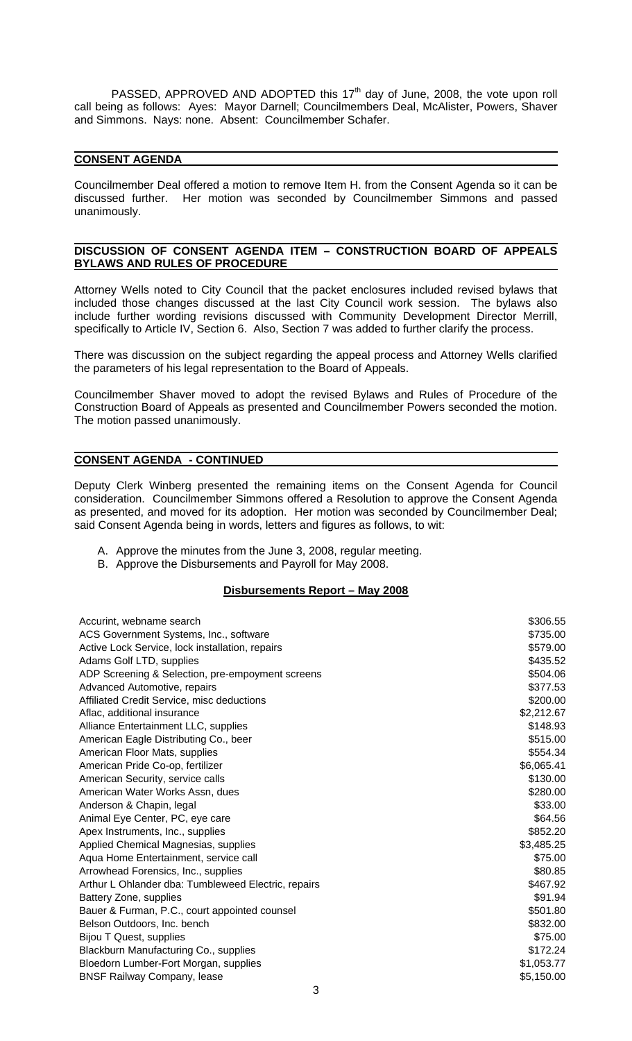PASSED, APPROVED AND ADOPTED this  $17<sup>th</sup>$  day of June, 2008, the vote upon roll call being as follows: Ayes: Mayor Darnell; Councilmembers Deal, McAlister, Powers, Shaver and Simmons. Nays: none. Absent: Councilmember Schafer.

# **CONSENT AGENDA**

Councilmember Deal offered a motion to remove Item H. from the Consent Agenda so it can be discussed further. Her motion was seconded by Councilmember Simmons and passed unanimously.

#### **DISCUSSION OF CONSENT AGENDA ITEM – CONSTRUCTION BOARD OF APPEALS BYLAWS AND RULES OF PROCEDURE**

Attorney Wells noted to City Council that the packet enclosures included revised bylaws that included those changes discussed at the last City Council work session. The bylaws also include further wording revisions discussed with Community Development Director Merrill, specifically to Article IV, Section 6. Also, Section 7 was added to further clarify the process.

There was discussion on the subject regarding the appeal process and Attorney Wells clarified the parameters of his legal representation to the Board of Appeals.

Councilmember Shaver moved to adopt the revised Bylaws and Rules of Procedure of the Construction Board of Appeals as presented and Councilmember Powers seconded the motion. The motion passed unanimously.

# **CONSENT AGENDA - CONTINUED**

Deputy Clerk Winberg presented the remaining items on the Consent Agenda for Council consideration. Councilmember Simmons offered a Resolution to approve the Consent Agenda as presented, and moved for its adoption. Her motion was seconded by Councilmember Deal; said Consent Agenda being in words, letters and figures as follows, to wit:

- A. Approve the minutes from the June 3, 2008, regular meeting.
- B. Approve the Disbursements and Payroll for May 2008.

# **Disbursements Report – May 2008**

| Accurint, webname search                            | \$306.55   |
|-----------------------------------------------------|------------|
| ACS Government Systems, Inc., software              | \$735.00   |
| Active Lock Service, lock installation, repairs     | \$579.00   |
| Adams Golf LTD, supplies                            | \$435.52   |
| ADP Screening & Selection, pre-empoyment screens    | \$504.06   |
| Advanced Automotive, repairs                        | \$377.53   |
| Affiliated Credit Service, misc deductions          | \$200.00   |
| Aflac, additional insurance                         | \$2,212.67 |
| Alliance Entertainment LLC, supplies                | \$148.93   |
| American Eagle Distributing Co., beer               | \$515.00   |
| American Floor Mats, supplies                       | \$554.34   |
| American Pride Co-op, fertilizer                    | \$6,065.41 |
| American Security, service calls                    | \$130.00   |
| American Water Works Assn, dues                     | \$280.00   |
| Anderson & Chapin, legal                            | \$33.00    |
| Animal Eye Center, PC, eye care                     | \$64.56    |
| Apex Instruments, Inc., supplies                    | \$852.20   |
| Applied Chemical Magnesias, supplies                | \$3,485.25 |
| Aqua Home Entertainment, service call               | \$75.00    |
| Arrowhead Forensics, Inc., supplies                 | \$80.85    |
| Arthur L Ohlander dba: Tumbleweed Electric, repairs | \$467.92   |
| Battery Zone, supplies                              | \$91.94    |
| Bauer & Furman, P.C., court appointed counsel       | \$501.80   |
| Belson Outdoors, Inc. bench                         | \$832.00   |
| <b>Bijou T Quest, supplies</b>                      | \$75.00    |
| Blackburn Manufacturing Co., supplies               | \$172.24   |
| Bloedorn Lumber-Fort Morgan, supplies               | \$1,053.77 |
| <b>BNSF Railway Company, lease</b>                  | \$5,150.00 |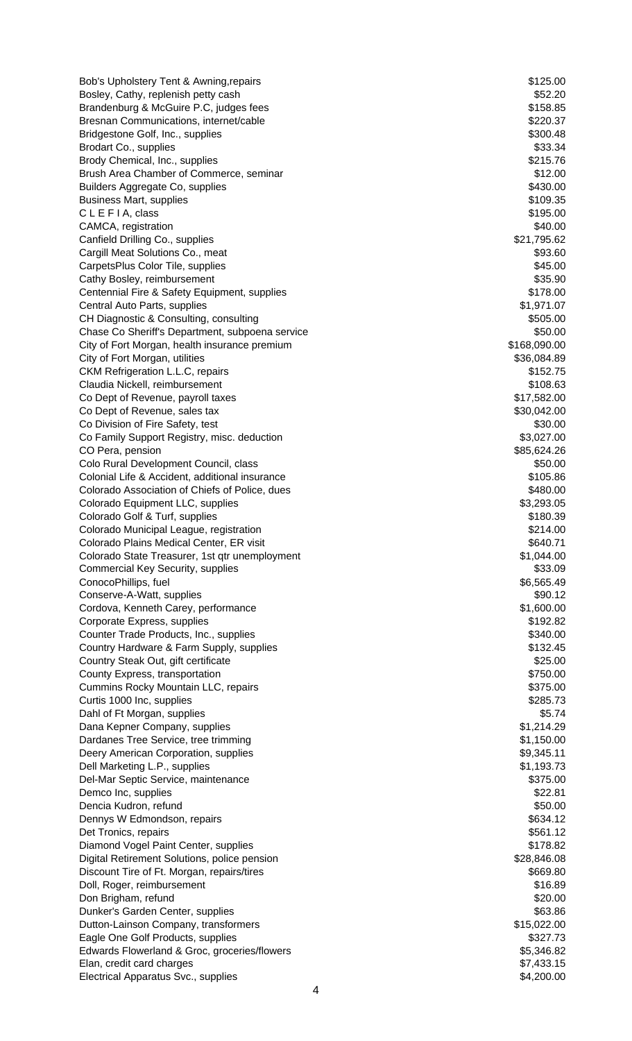Bob's Upholstery Tent & Awning,repairs  $$125.00$ Bosley, Cathy, replenish petty cash  $$52.20$ Brandenburg & McGuire P.C, judges fees \$158.85 Bresnan Communications, internet/cable  $$220.37$ Bridgestone Golf, Inc., supplies  $$300.48$ Brodart Co., supplies \$33.34 Brody Chemical, Inc., supplies  $$215.76$ Brush Area Chamber of Commerce, seminar **\$12.00** \$12.00 Builders Aggregate Co, supplies  $$430.00$ Business Mart, supplies **\$109.35** and the state of the state of the state of the state of the state of the state of the state of the state of the state of the state of the state of the state of the state of the state of th  $CLEFIA, class$  \$195.00 CAMCA, registration  $$40.00$ Canfield Drilling Co., supplies  $$21,795.62$ Cargill Meat Solutions Co., meat  $$93.60$ CarpetsPlus Color Tile, supplies \$45.00 Cathy Bosley, reimbursement \$35.90 Centennial Fire & Safety Equipment, supplies  $$178.00$ Central Auto Parts, supplies  $$1,971.07$ CH Diagnostic & Consulting, consulting  $$505.00$ Chase Co Sheriff's Department, subpoena service \$50.00 City of Fort Morgan, health insurance premium \$168,090.00 City of Fort Morgan, utilities \$36,084.89 CKM Refrigeration L.L.C, repairs  $$152.75$ Claudia Nickell, reimbursement \$108.63 Co Dept of Revenue, payroll taxes  $$17,582.00$ Co Dept of Revenue, sales tax  $$30,042.00$ Co Division of Fire Safety, test  $$30.00$ Co Family Support Registry, misc. deduction  $$3,027.00$ CO Pera, pension  $$85,624.26$ Colo Rural Development Council, class \$50.00 Colonial Life & Accident, additional insurance \$105.86 Colorado Association of Chiefs of Police, dues  $$480.00$ Colorado Equipment LLC, supplies  $$3,293.05$ Colorado Golf & Turf, supplies \$180.39 Colorado Municipal League, registration  $$214.00$ Colorado Plains Medical Center, ER visit  $\sim$  8640.71 Colorado State Treasurer, 1st qtr unemployment  $$1,044.00$ Commercial Key Security, supplies  $$33.09$ ConocoPhillips, fuel \$6,565.49 Conserve-A-Watt, supplies  $$90.12$ Cordova, Kenneth Carey, performance \$1,600.00 Corporate Express, supplies  $$192.82$ Counter Trade Products, Inc., supplies  $$340.00$ Country Hardware & Farm Supply, supplies  $$132.45$ Country Steak Out, gift certificate  $$25.00$ County Express, transportation  $$750.00$ Cummins Rocky Mountain LLC, repairs  $$375.00$ Curtis 1000 Inc, supplies  $$285.73$ Dahl of Ft Morgan, supplies \$5.74<br>
Dana Kepner Company, supplies \$1,214.29 Dana Kepner Company, supplies Dardanes Tree Service, tree trimming  $$1,150.00$ Deery American Corporation, supplies  $$9,345.11$ Dell Marketing L.P., supplies  $$1,193.73$ Del-Mar Septic Service, maintenance **\$375.00 \$375.00** Demco Inc, supplies  $$22.81$ Dencia Kudron, refund \$50.00 Dennys W Edmondson, repairs  $$634.12$ Det Tronics, repairs  $$561.12$ Diamond Vogel Paint Center, supplies \$178.82 Digital Retirement Solutions, police pension \$28,846.08 \$28,846.08 Discount Tire of Ft. Morgan, repairs/tires  $$669.80$ Doll, Roger, reimbursement  $$16.89$ Don Brigham, refund \$20.00 Dunker's Garden Center, supplies \$63.86 Dutton-Lainson Company, transformers **\$15,022.00** \$15,022.00 Eagle One Golf Products, supplies  $$327.73$ Edwards Flowerland & Groc, groceries/flowers **\$5,346.82** \$5,346.82 Elan, credit card charges  $$7,433.15$ Electrical Apparatus Svc., supplies  $$4,200.00$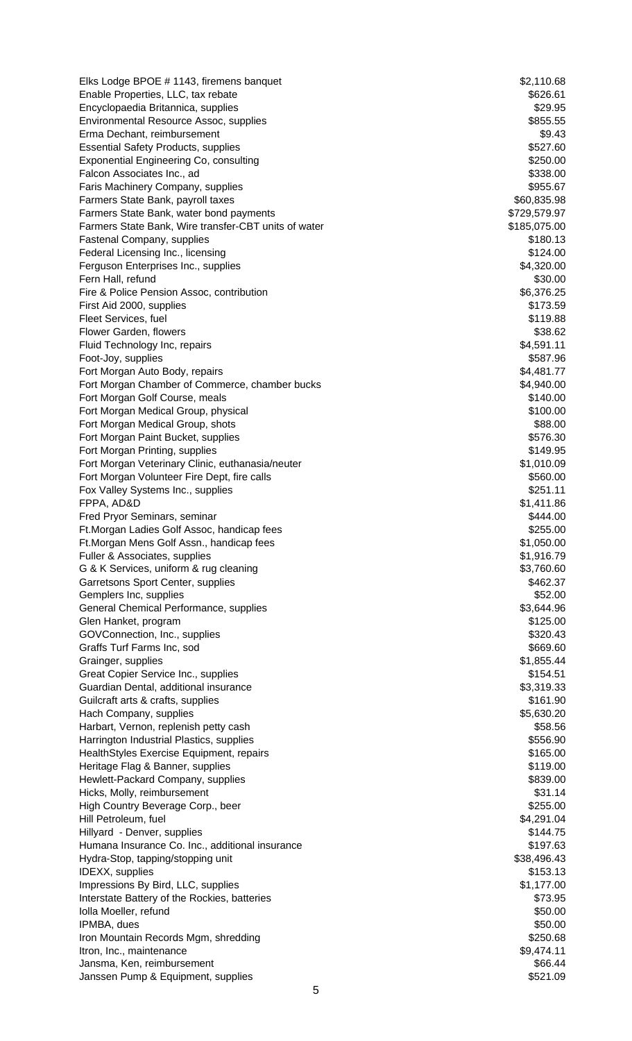| Elks Lodge BPOE # 1143, firemens banquet<br>Enable Properties, LLC, tax rebate | \$2,110.68<br>\$626.61      |
|--------------------------------------------------------------------------------|-----------------------------|
| Encyclopaedia Britannica, supplies                                             | \$29.95                     |
| Environmental Resource Assoc, supplies                                         | \$855.55                    |
| Erma Dechant, reimbursement                                                    | \$9.43                      |
| <b>Essential Safety Products, supplies</b>                                     | \$527.60                    |
| <b>Exponential Engineering Co, consulting</b>                                  | \$250.00                    |
| Falcon Associates Inc., ad                                                     | \$338.00                    |
| Faris Machinery Company, supplies                                              | \$955.67                    |
| Farmers State Bank, payroll taxes<br>Farmers State Bank, water bond payments   | \$60,835.98<br>\$729,579.97 |
| Farmers State Bank, Wire transfer-CBT units of water                           | \$185,075.00                |
| <b>Fastenal Company, supplies</b>                                              | \$180.13                    |
| Federal Licensing Inc., licensing                                              | \$124.00                    |
| Ferguson Enterprises Inc., supplies                                            | \$4,320.00                  |
| Fern Hall, refund                                                              | \$30.00                     |
| Fire & Police Pension Assoc, contribution                                      | \$6,376.25                  |
| First Aid 2000, supplies<br>Fleet Services, fuel                               | \$173.59<br>\$119.88        |
| Flower Garden, flowers                                                         | \$38.62                     |
| Fluid Technology Inc, repairs                                                  | \$4,591.11                  |
| Foot-Joy, supplies                                                             | \$587.96                    |
| Fort Morgan Auto Body, repairs                                                 | \$4,481.77                  |
| Fort Morgan Chamber of Commerce, chamber bucks                                 | \$4,940.00                  |
| Fort Morgan Golf Course, meals                                                 | \$140.00                    |
| Fort Morgan Medical Group, physical                                            | \$100.00                    |
| Fort Morgan Medical Group, shots                                               | \$88.00                     |
| Fort Morgan Paint Bucket, supplies<br>Fort Morgan Printing, supplies           | \$576.30<br>\$149.95        |
| Fort Morgan Veterinary Clinic, euthanasia/neuter                               | \$1,010.09                  |
| Fort Morgan Volunteer Fire Dept, fire calls                                    | \$560.00                    |
| Fox Valley Systems Inc., supplies                                              | \$251.11                    |
| FPPA, AD&D                                                                     | \$1,411.86                  |
| Fred Pryor Seminars, seminar                                                   | \$444.00                    |
| Ft. Morgan Ladies Golf Assoc, handicap fees                                    | \$255.00                    |
| Ft. Morgan Mens Golf Assn., handicap fees<br>Fuller & Associates, supplies     | \$1,050.00<br>\$1,916.79    |
| G & K Services, uniform & rug cleaning                                         | \$3,760.60                  |
| Garretsons Sport Center, supplies                                              | \$462.37                    |
| Gemplers Inc, supplies                                                         | \$52.00                     |
| General Chemical Performance, supplies                                         | \$3,644.96                  |
| Glen Hanket, program                                                           | \$125.00                    |
| GOVConnection, Inc., supplies                                                  | \$320.43                    |
| Graffs Turf Farms Inc, sod                                                     | \$669.60                    |
| Grainger, supplies                                                             | \$1,855.44<br>\$154.51      |
| Great Copier Service Inc., supplies<br>Guardian Dental, additional insurance   | \$3,319.33                  |
| Guilcraft arts & crafts, supplies                                              | \$161.90                    |
| Hach Company, supplies                                                         | \$5,630.20                  |
| Harbart, Vernon, replenish petty cash                                          | \$58.56                     |
| Harrington Industrial Plastics, supplies                                       | \$556.90                    |
| HealthStyles Exercise Equipment, repairs                                       | \$165.00                    |
| Heritage Flag & Banner, supplies                                               | \$119.00                    |
| Hewlett-Packard Company, supplies                                              | \$839.00                    |
| Hicks, Molly, reimbursement<br>High Country Beverage Corp., beer               | \$31.14<br>\$255.00         |
| Hill Petroleum, fuel                                                           | \$4,291.04                  |
| Hillyard - Denver, supplies                                                    | \$144.75                    |
| Humana Insurance Co. Inc., additional insurance                                | \$197.63                    |
| Hydra-Stop, tapping/stopping unit                                              | \$38,496.43                 |
| <b>IDEXX, supplies</b>                                                         | \$153.13                    |
| Impressions By Bird, LLC, supplies                                             | \$1,177.00                  |
| Interstate Battery of the Rockies, batteries                                   | \$73.95                     |
| Iolla Moeller, refund<br>IPMBA, dues                                           | \$50.00<br>\$50.00          |
| Iron Mountain Records Mgm, shredding                                           | \$250.68                    |
| Itron, Inc., maintenance                                                       | \$9,474.11                  |
| Jansma, Ken, reimbursement                                                     | \$66.44                     |
| Janssen Pump & Equipment, supplies                                             | \$521.09                    |
| 5                                                                              |                             |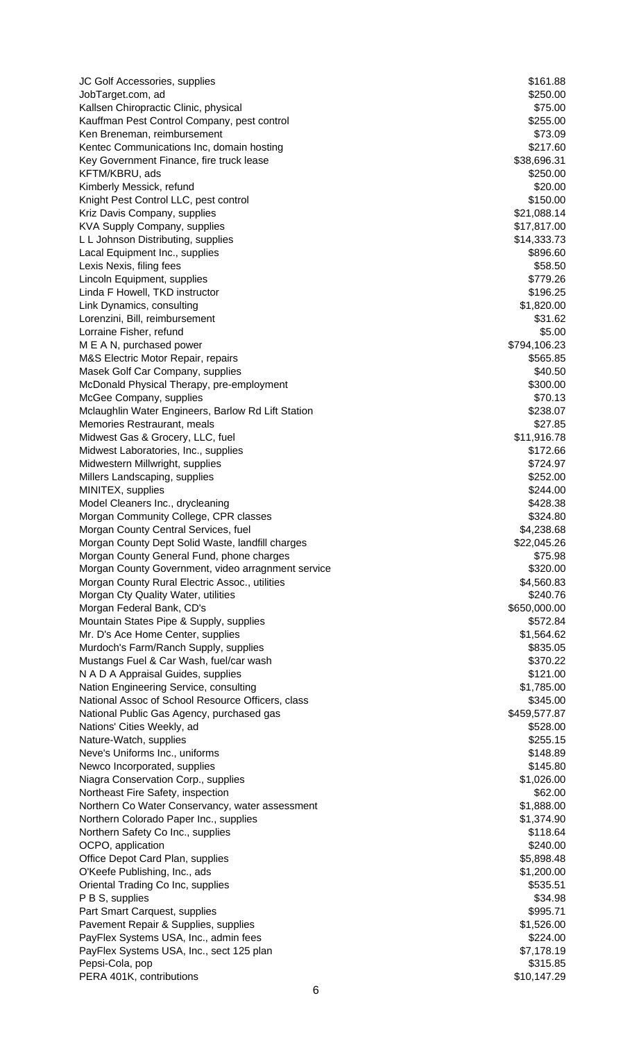JC Golf Accessories, supplies  $$161.88$ JobTarget.com, ad \$250.00 Kallsen Chiropractic Clinic, physical  $$75.00$ Kauffman Pest Control Company, pest control  $\sim$  \$255.00 Ken Breneman, reimbursement **\$73.09** (September 2011) Kentec Communications Inc, domain hosting **\$217.60** \$217.60 Key Government Finance, fire truck lease \$38,696.31 KFTM/KBRU, ads \$250.00 Kimberly Messick, refund  $$20.00$ Knight Pest Control LLC, pest control  $\blacktriangleright$ Kriz Davis Company, supplies  $$21,088.14$ KVA Supply Company, supplies  $$17,817.00$ L L Johnson Distributing, supplies  $$14,333.73$ Lacal Equipment Inc., supplies  $$896.60$ Lexis Nexis, filing fees \$58.50 Lincoln Equipment, supplies  $$779.26$ Linda F Howell, TKD instructor  $$196.25$ Link Dynamics, consulting  $$1,820.00$ Lorenzini, Bill, reimbursement  $$31.62$ Lorraine Fisher, refund \$5.00 M E A N, purchased power \$794,106.23 M&S Electric Motor Repair, repairs \$565.85 Masek Golf Car Company, supplies  $$40.50$ McDonald Physical Therapy, pre-employment **\$300.00** \$300.00 McGee Company, supplies  $$70.13$ Mclaughlin Water Engineers, Barlow Rd Lift Station **\$238.07** \$238.07 Memories Restraurant, meals **\$27.85** and the straight straight straight straight straight straight straight straight straight straight straight straight straight straight straight straight straight straight straight straig Midwest Gas & Grocery, LLC, fuel \$11,916.78 Midwest Laboratories, Inc., supplies  $$172.66$ Midwestern Millwright, supplies  $$724.97$ Millers Landscaping, supplies  $$252.00$ MINITEX, supplies  $$244.00$ Model Cleaners Inc., drycleaning  $$428.38$ Morgan Community College, CPR classes  $$324.80$ Morgan County Central Services, fuel **\$4,238.68** \$4,238.68 Morgan County Dept Solid Waste, landfill charges  $$22,045.26$ Morgan County General Fund, phone charges  $$75.98$ Morgan County Government, video arragnment service **\$320.00** \$320.00 Morgan County Rural Electric Assoc., utilities  $$4,560.83$ Morgan Cty Quality Water, utilities **\$240.76** \$240.76 Morgan Federal Bank, CD's 650,000.00 Mountain States Pipe & Supply, supplies  $$572.84$ Mr. D's Ace Home Center, supplies  $$1,564.62$ Murdoch's Farm/Ranch Supply, supplies  $$835.05$ Mustangs Fuel & Car Wash, fuel/car wash  $$370.22$ N A D A Appraisal Guides, supplies  $$121.00$ Nation Engineering Service, consulting  $$1,785.00$ National Assoc of School Resource Officers, class  $$345.00$ National Public Gas Agency, purchased gas  $$459,577.87$ Nations' Cities Weekly, ad **\$528.00 Nations' Cities Weekly, ad** \$528.00 Nature-Watch, supplies  $$255.15$ Neve's Uniforms Inc., uniforms  $\sim$  8148.89 Newco Incorporated, supplies  $$145.80$ Niagra Conservation Corp., supplies  $$1,026.00$ Northeast Fire Safety, inspection  $$62.00$ Northern Co Water Conservancy, water assessment  $$1,888.00$ Northern Colorado Paper Inc., supplies  $$1,374.90$ Northern Safety Co Inc., supplies  $$118.64$ OCPO, application  $$240.00$ Office Depot Card Plan, supplies  $$5,898.48$ O'Keefe Publishing, Inc., ads \$1,200.00 Oriental Trading Co Inc, supplies  $$535.51$ P B S, supplies  $$34.98$ Part Smart Carquest, supplies  $$995.71$ Pavement Repair & Supplies, supplies  $$1,526.00$ PayFlex Systems USA, Inc., admin fees  $$224.00$ PayFlex Systems USA, Inc., sect 125 plan  $$7,178.19$ Pepsi-Cola, pop \$315.85 PERA 401K, contributions  $$10,147.29$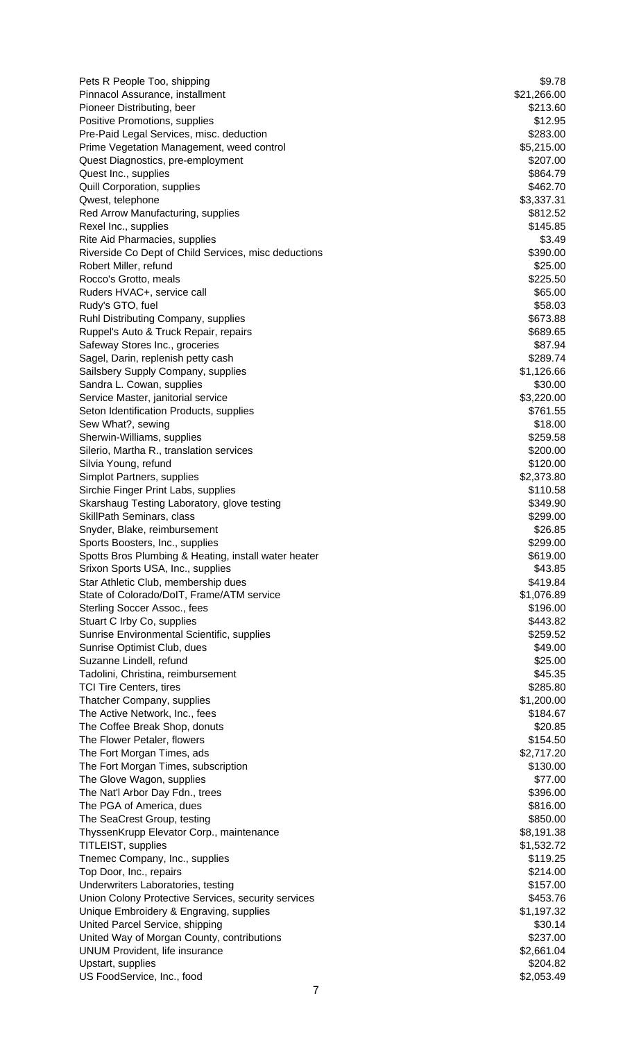| Pets R People Too, shipping                                       | \$9.78                 |
|-------------------------------------------------------------------|------------------------|
| Pinnacol Assurance, installment                                   | \$21,266.00            |
| Pioneer Distributing, beer                                        | \$213.60               |
| Positive Promotions, supplies                                     | \$12.95                |
| Pre-Paid Legal Services, misc. deduction                          | \$283.00               |
| Prime Vegetation Management, weed control                         | \$5,215.00             |
| Quest Diagnostics, pre-employment                                 | \$207.00               |
| Quest Inc., supplies                                              | \$864.79               |
| Quill Corporation, supplies                                       | \$462.70               |
| Qwest, telephone                                                  | \$3,337.31             |
| Red Arrow Manufacturing, supplies                                 | \$812.52               |
| Rexel Inc., supplies                                              | \$145.85               |
| Rite Aid Pharmacies, supplies                                     | \$3.49                 |
| Riverside Co Dept of Child Services, misc deductions              | \$390.00               |
| Robert Miller, refund                                             | \$25.00                |
| Rocco's Grotto, meals                                             | \$225.50               |
| Ruders HVAC+, service call                                        | \$65.00                |
| Rudy's GTO, fuel                                                  | \$58.03                |
| Ruhl Distributing Company, supplies                               | \$673.88               |
| Ruppel's Auto & Truck Repair, repairs                             | \$689.65               |
| Safeway Stores Inc., groceries                                    | \$87.94                |
| Sagel, Darin, replenish petty cash                                | \$289.74               |
| Sailsbery Supply Company, supplies                                | \$1,126.66             |
| Sandra L. Cowan, supplies                                         | \$30.00                |
| Service Master, janitorial service                                | \$3,220.00             |
| Seton Identification Products, supplies                           | \$761.55               |
| Sew What?, sewing                                                 | \$18.00                |
| Sherwin-Williams, supplies                                        | \$259.58               |
| Silerio, Martha R., translation services                          | \$200.00               |
| Silvia Young, refund                                              | \$120.00<br>\$2,373.80 |
| Simplot Partners, supplies<br>Sirchie Finger Print Labs, supplies | \$110.58               |
| Skarshaug Testing Laboratory, glove testing                       | \$349.90               |
| SkillPath Seminars, class                                         | \$299.00               |
| Snyder, Blake, reimbursement                                      | \$26.85                |
| Sports Boosters, Inc., supplies                                   | \$299.00               |
| Spotts Bros Plumbing & Heating, install water heater              | \$619.00               |
| Srixon Sports USA, Inc., supplies                                 | \$43.85                |
| Star Athletic Club, membership dues                               | \$419.84               |
| State of Colorado/DoIT, Frame/ATM service                         | \$1,076.89             |
| Sterling Soccer Assoc., fees                                      | \$196.00               |
| Stuart C Irby Co, supplies                                        | \$443.82               |
| Sunrise Environmental Scientific, supplies                        | \$259.52               |
| Sunrise Optimist Club, dues                                       | \$49.00                |
| Suzanne Lindell, refund                                           | \$25.00                |
| Tadolini, Christina, reimbursement                                | \$45.35                |
| <b>TCI Tire Centers, tires</b>                                    | \$285.80               |
| Thatcher Company, supplies                                        | \$1,200.00             |
| The Active Network, Inc., fees                                    | \$184.67               |
| The Coffee Break Shop, donuts                                     | \$20.85                |
| The Flower Petaler, flowers                                       | \$154.50               |
| The Fort Morgan Times, ads                                        | \$2,717.20             |
| The Fort Morgan Times, subscription                               | \$130.00               |
| The Glove Wagon, supplies                                         | \$77.00                |
| The Nat'l Arbor Day Fdn., trees                                   | \$396.00               |
| The PGA of America, dues                                          | \$816.00               |
| The SeaCrest Group, testing                                       | \$850.00               |
| ThyssenKrupp Elevator Corp., maintenance                          | \$8,191.38             |
| TITLEIST, supplies                                                | \$1,532.72             |
| Tnemec Company, Inc., supplies                                    | \$119.25               |
| Top Door, Inc., repairs                                           | \$214.00               |
| Underwriters Laboratories, testing                                | \$157.00               |
| Union Colony Protective Services, security services               | \$453.76               |
| Unique Embroidery & Engraving, supplies                           | \$1,197.32             |
| United Parcel Service, shipping                                   | \$30.14                |
| United Way of Morgan County, contributions                        | \$237.00               |
| <b>UNUM Provident, life insurance</b>                             | \$2,661.04             |
| Upstart, supplies                                                 | \$204.82               |
| US FoodService, Inc., food                                        | \$2,053.49             |
|                                                                   |                        |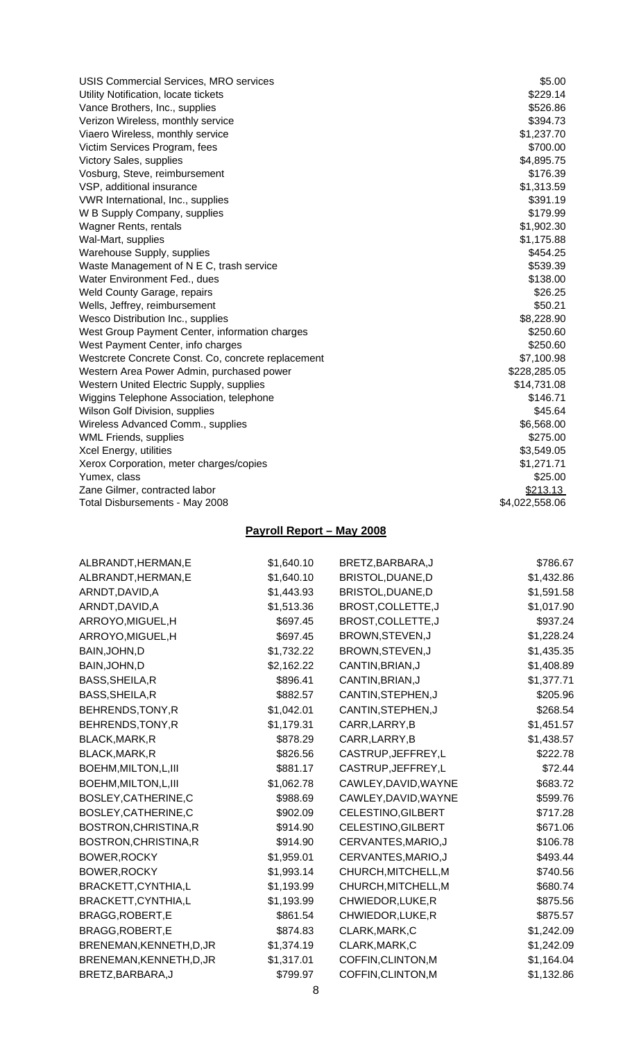| USIS Commercial Services, MRO services             | \$5.00         |
|----------------------------------------------------|----------------|
| Utility Notification, locate tickets               | \$229.14       |
| Vance Brothers, Inc., supplies                     | \$526.86       |
| Verizon Wireless, monthly service                  | \$394.73       |
| Viaero Wireless, monthly service                   | \$1,237.70     |
| Victim Services Program, fees                      | \$700.00       |
| <b>Victory Sales, supplies</b>                     | \$4,895.75     |
| Vosburg, Steve, reimbursement                      | \$176.39       |
| VSP, additional insurance                          | \$1,313.59     |
| VWR International, Inc., supplies                  | \$391.19       |
| W B Supply Company, supplies                       | \$179.99       |
| Wagner Rents, rentals                              | \$1,902.30     |
| Wal-Mart, supplies                                 | \$1,175.88     |
| Warehouse Supply, supplies                         | \$454.25       |
| Waste Management of N E C, trash service           | \$539.39       |
| Water Environment Fed., dues                       | \$138.00       |
| <b>Weld County Garage, repairs</b>                 | \$26.25        |
| Wells, Jeffrey, reimbursement                      | \$50.21        |
| Wesco Distribution Inc., supplies                  | \$8,228.90     |
| West Group Payment Center, information charges     | \$250.60       |
| West Payment Center, info charges                  | \$250.60       |
| Westcrete Concrete Const. Co, concrete replacement | \$7,100.98     |
| Western Area Power Admin, purchased power          | \$228,285.05   |
| Western United Electric Supply, supplies           | \$14,731.08    |
| Wiggins Telephone Association, telephone           | \$146.71       |
| Wilson Golf Division, supplies                     | \$45.64        |
| Wireless Advanced Comm., supplies                  | \$6,568.00     |
| <b>WML Friends, supplies</b>                       | \$275.00       |
| Xcel Energy, utilities                             | \$3,549.05     |
| Xerox Corporation, meter charges/copies            | \$1,271.71     |
| Yumex, class                                       | \$25.00        |
| Zane Gilmer, contracted labor                      | \$213.13       |
| Total Disbursements - May 2008                     | \$4,022,558.06 |

# **Payroll Report – May 2008**

| ALBRANDT, HERMAN, E      | \$1,640.10 | BRETZ, BARBARA, J    | \$786.67   |
|--------------------------|------------|----------------------|------------|
| ALBRANDT, HERMAN, E      | \$1,640.10 | BRISTOL, DUANE, D    | \$1,432.86 |
| ARNDT, DAVID, A          | \$1,443.93 | BRISTOL, DUANE, D    | \$1,591.58 |
| ARNDT, DAVID, A          | \$1,513.36 | BROST, COLLETTE, J   | \$1,017.90 |
| ARROYO, MIGUEL, H        | \$697.45   | BROST, COLLETTE, J   | \$937.24   |
| ARROYO, MIGUEL, H        | \$697.45   | BROWN, STEVEN, J     | \$1,228.24 |
| BAIN, JOHN, D            | \$1,732.22 | BROWN, STEVEN, J     | \$1,435.35 |
| BAIN, JOHN, D            | \$2,162.22 | CANTIN, BRIAN, J     | \$1,408.89 |
| BASS, SHEILA, R          | \$896.41   | CANTIN, BRIAN, J     | \$1,377.71 |
| BASS, SHEILA, R          | \$882.57   | CANTIN, STEPHEN, J   | \$205.96   |
| BEHRENDS, TONY, R        | \$1,042.01 | CANTIN, STEPHEN, J   | \$268.54   |
| BEHRENDS, TONY, R        | \$1,179.31 | CARR, LARRY, B       | \$1,451.57 |
| BLACK, MARK, R           | \$878.29   | CARR, LARRY, B       | \$1,438.57 |
| BLACK, MARK, R           | \$826.56   | CASTRUP, JEFFREY, L  | \$222.78   |
| BOEHM, MILTON, L, III    | \$881.17   | CASTRUP, JEFFREY, L  | \$72.44    |
| BOEHM, MILTON, L, III    | \$1,062.78 | CAWLEY, DAVID, WAYNE | \$683.72   |
| BOSLEY, CATHERINE, C     | \$988.69   | CAWLEY, DAVID, WAYNE | \$599.76   |
| BOSLEY, CATHERINE, C     | \$902.09   | CELESTINO, GILBERT   | \$717.28   |
| BOSTRON, CHRISTINA, R    | \$914.90   | CELESTINO, GILBERT   | \$671.06   |
| BOSTRON, CHRISTINA, R    | \$914.90   | CERVANTES, MARIO, J  | \$106.78   |
| BOWER, ROCKY             | \$1,959.01 | CERVANTES, MARIO, J  | \$493.44   |
| <b>BOWER, ROCKY</b>      | \$1,993.14 | CHURCH, MITCHELL, M  | \$740.56   |
| BRACKETT, CYNTHIA, L     | \$1,193.99 | CHURCH, MITCHELL, M  | \$680.74   |
| BRACKETT, CYNTHIA, L     | \$1,193.99 | CHWIEDOR, LUKE, R    | \$875.56   |
| BRAGG, ROBERT, E         | \$861.54   | CHWIEDOR, LUKE, R    | \$875.57   |
| BRAGG, ROBERT, E         | \$874.83   | CLARK, MARK, C       | \$1,242.09 |
| BRENEMAN, KENNETH, D, JR | \$1,374.19 | CLARK, MARK, C       | \$1,242.09 |
| BRENEMAN, KENNETH, D, JR | \$1,317.01 | COFFIN, CLINTON, M   | \$1,164.04 |
| BRETZ, BARBARA, J        | \$799.97   | COFFIN, CLINTON, M   | \$1,132.86 |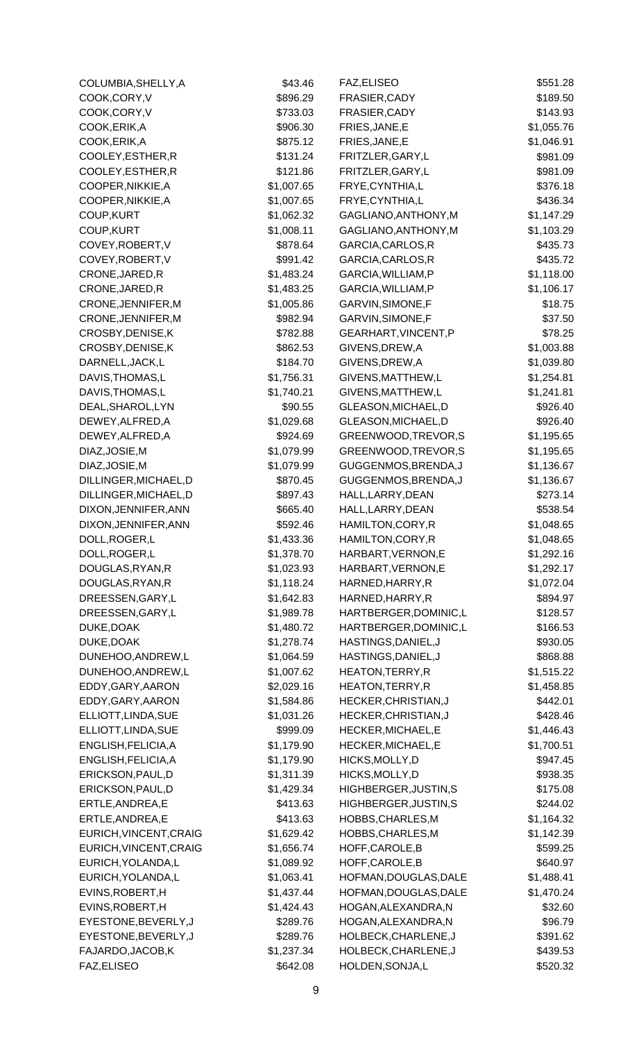| COLUMBIA, SHELLY, A                      | \$43.46                | FAZ, ELISEO                              | \$551.28               |
|------------------------------------------|------------------------|------------------------------------------|------------------------|
| COOK,CORY,V                              | \$896.29               | FRASIER, CADY                            | \$189.50               |
| COOK,CORY,V                              | \$733.03               | FRASIER, CADY                            | \$143.93               |
| COOK, ERIK, A                            | \$906.30               | FRIES, JANE, E                           | \$1,055.76             |
| COOK, ERIK, A                            | \$875.12               | FRIES, JANE, E                           | \$1,046.91             |
| COOLEY, ESTHER, R                        | \$131.24               | FRITZLER, GARY, L                        | \$981.09               |
| COOLEY, ESTHER, R                        | \$121.86               | FRITZLER, GARY, L                        | \$981.09               |
| COOPER, NIKKIE, A                        | \$1,007.65             | FRYE, CYNTHIA, L                         | \$376.18               |
| COOPER, NIKKIE, A                        | \$1,007.65             | FRYE, CYNTHIA, L                         | \$436.34               |
| COUP, KURT                               | \$1,062.32             | GAGLIANO, ANTHONY, M                     | \$1,147.29             |
| COUP, KURT                               | \$1,008.11             | GAGLIANO, ANTHONY, M                     | \$1,103.29             |
| COVEY, ROBERT, V                         | \$878.64               | GARCIA, CARLOS, R                        | \$435.73               |
| COVEY, ROBERT, V                         | \$991.42               | GARCIA, CARLOS, R                        | \$435.72               |
| CRONE, JARED, R                          | \$1,483.24             | GARCIA, WILLIAM, P                       | \$1,118.00             |
| CRONE, JARED, R                          | \$1,483.25             | GARCIA, WILLIAM, P                       | \$1,106.17             |
| CRONE, JENNIFER, M                       | \$1,005.86             | GARVIN, SIMONE, F                        | \$18.75                |
| CRONE, JENNIFER, M                       | \$982.94               | GARVIN, SIMONE, F                        | \$37.50                |
| CROSBY, DENISE, K                        | \$782.88               | GEARHART, VINCENT, P                     | \$78.25                |
| CROSBY, DENISE, K                        | \$862.53               | GIVENS, DREW, A                          | \$1,003.88             |
| DARNELL, JACK, L                         | \$184.70               | GIVENS, DREW, A                          | \$1,039.80             |
| DAVIS, THOMAS, L                         | \$1,756.31             | GIVENS, MATTHEW, L                       | \$1,254.81             |
| DAVIS, THOMAS, L                         | \$1,740.21             | GIVENS, MATTHEW, L                       | \$1,241.81             |
| DEAL, SHAROL, LYN                        | \$90.55                | GLEASON, MICHAEL, D                      | \$926.40               |
| DEWEY, ALFRED, A                         | \$1,029.68             | GLEASON, MICHAEL, D                      | \$926.40               |
| DEWEY, ALFRED, A                         | \$924.69               | GREENWOOD, TREVOR, S                     | \$1,195.65             |
| DIAZ, JOSIE, M                           | \$1,079.99             | GREENWOOD, TREVOR, S                     | \$1,195.65             |
| DIAZ, JOSIE, M                           | \$1,079.99             | GUGGENMOS, BRENDA, J                     | \$1,136.67             |
| DILLINGER, MICHAEL, D                    | \$870.45               | GUGGENMOS, BRENDA, J                     | \$1,136.67             |
| DILLINGER, MICHAEL, D                    | \$897.43               | HALL, LARRY, DEAN                        | \$273.14               |
| DIXON, JENNIFER, ANN                     | \$665.40               | HALL, LARRY, DEAN                        | \$538.54               |
| DIXON, JENNIFER, ANN                     | \$592.46               | HAMILTON, CORY, R                        | \$1,048.65             |
| DOLL, ROGER, L                           | \$1,433.36             | HAMILTON, CORY, R                        | \$1,048.65             |
| DOLL, ROGER, L                           | \$1,378.70             | HARBART, VERNON, E                       | \$1,292.16             |
| DOUGLAS, RYAN, R                         | \$1,023.93             | HARBART, VERNON, E                       | \$1,292.17             |
| DOUGLAS, RYAN, R                         | \$1,118.24             | HARNED, HARRY, R                         | \$1,072.04             |
| DREESSEN, GARY, L                        | \$1,642.83             | HARNED, HARRY, R                         | \$894.97               |
| DREESSEN, GARY, L                        | \$1,989.78             | HARTBERGER, DOMINIC, L                   | \$128.57               |
| DUKE, DOAK                               | \$1,480.72             | HARTBERGER, DOMINIC, L                   | \$166.53               |
| DUKE, DOAK                               | \$1,278.74             | HASTINGS, DANIEL, J                      | \$930.05               |
| DUNEHOO, ANDREW, L                       | \$1,064.59             | HASTINGS, DANIEL, J                      | \$868.88               |
| DUNEHOO, ANDREW, L                       | \$1,007.62             | HEATON, TERRY, R                         | \$1,515.22             |
| EDDY, GARY, AARON                        | \$2,029.16             | HEATON, TERRY, R                         | \$1,458.85             |
| EDDY, GARY, AARON                        | \$1,584.86             | HECKER, CHRISTIAN, J                     | \$442.01               |
| ELLIOTT, LINDA, SUE                      | \$1,031.26             | HECKER, CHRISTIAN, J                     | \$428.46               |
| ELLIOTT, LINDA, SUE                      | \$999.09               | HECKER, MICHAEL, E                       | \$1,446.43             |
| ENGLISH, FELICIA, A                      | \$1,179.90             | HECKER, MICHAEL, E                       | \$1,700.51             |
| ENGLISH, FELICIA, A                      | \$1,179.90             | HICKS, MOLLY, D                          | \$947.45               |
| ERICKSON, PAUL, D                        | \$1,311.39             | HICKS, MOLLY, D                          | \$938.35               |
| ERICKSON, PAUL, D                        | \$1,429.34             | HIGHBERGER, JUSTIN, S                    | \$175.08               |
| ERTLE, ANDREA, E                         | \$413.63               | HIGHBERGER, JUSTIN, S                    | \$244.02               |
| ERTLE, ANDREA, E                         | \$413.63               | HOBBS, CHARLES, M                        | \$1,164.32             |
| EURICH, VINCENT, CRAIG                   | \$1,629.42             | HOBBS, CHARLES, M                        | \$1,142.39             |
| EURICH, VINCENT, CRAIG                   | \$1,656.74             | HOFF, CAROLE, B                          | \$599.25               |
|                                          | \$1,089.92             |                                          |                        |
| EURICH, YOLANDA, L<br>EURICH, YOLANDA, L | \$1,063.41             | HOFF, CAROLE, B<br>HOFMAN, DOUGLAS, DALE | \$640.97<br>\$1,488.41 |
| EVINS, ROBERT, H                         | \$1,437.44             | HOFMAN, DOUGLAS, DALE                    | \$1,470.24             |
| EVINS, ROBERT, H                         | \$1,424.43             | HOGAN, ALEXANDRA, N                      | \$32.60                |
| EYESTONE, BEVERLY, J                     | \$289.76               | HOGAN, ALEXANDRA, N                      |                        |
|                                          | \$289.76               | HOLBECK, CHARLENE, J                     | \$96.79                |
| EYESTONE, BEVERLY, J                     |                        |                                          | \$391.62               |
| FAJARDO, JACOB, K<br>FAZ, ELISEO         | \$1,237.34<br>\$642.08 | HOLBECK, CHARLENE, J<br>HOLDEN, SONJA, L | \$439.53<br>\$520.32   |
|                                          |                        |                                          |                        |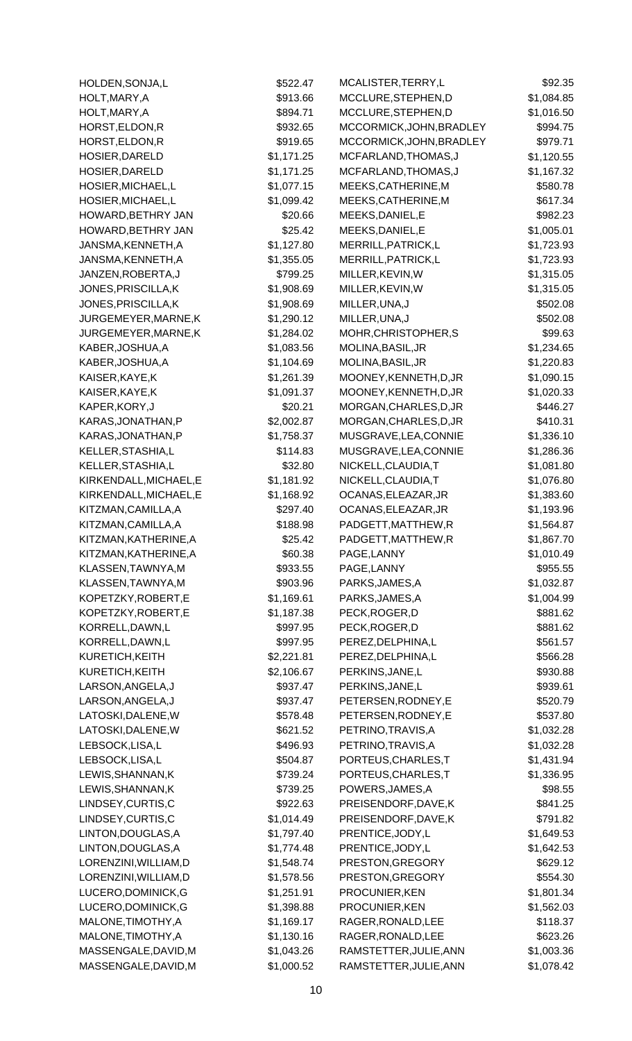| HOLDEN, SONJA, L                    | \$522.47               | MCALISTER, TERRY, L                      | \$92.35                |
|-------------------------------------|------------------------|------------------------------------------|------------------------|
| HOLT, MARY, A                       | \$913.66               | MCCLURE, STEPHEN, D                      | \$1,084.85             |
| HOLT, MARY, A                       | \$894.71               | MCCLURE, STEPHEN, D                      | \$1,016.50             |
| HORST, ELDON, R                     | \$932.65               | MCCORMICK, JOHN, BRADLEY                 | \$994.75               |
| HORST, ELDON, R                     | \$919.65               | MCCORMICK, JOHN, BRADLEY                 | \$979.71               |
| HOSIER, DARELD                      | \$1,171.25             | MCFARLAND, THOMAS, J                     | \$1,120.55             |
| HOSIER, DARELD                      | \$1,171.25             | MCFARLAND, THOMAS, J                     | \$1,167.32             |
| HOSIER, MICHAEL, L                  | \$1,077.15             | MEEKS, CATHERINE, M                      | \$580.78               |
| HOSIER, MICHAEL, L                  | \$1,099.42             | MEEKS, CATHERINE, M                      | \$617.34               |
| HOWARD, BETHRY JAN                  | \$20.66                | MEEKS, DANIEL, E                         | \$982.23               |
| HOWARD, BETHRY JAN                  | \$25.42                | MEEKS, DANIEL, E                         | \$1,005.01             |
| JANSMA, KENNETH, A                  | \$1,127.80             | MERRILL, PATRICK, L                      | \$1,723.93             |
| JANSMA, KENNETH, A                  | \$1,355.05             | MERRILL, PATRICK, L                      | \$1,723.93             |
| JANZEN, ROBERTA, J                  | \$799.25               | MILLER, KEVIN, W                         | \$1,315.05             |
| JONES, PRISCILLA, K                 | \$1,908.69             | MILLER, KEVIN, W                         | \$1,315.05             |
| JONES, PRISCILLA, K                 | \$1,908.69             | MILLER, UNA, J                           | \$502.08               |
| JURGEMEYER, MARNE, K                | \$1,290.12             | MILLER, UNA, J                           | \$502.08               |
| JURGEMEYER, MARNE, K                | \$1,284.02             | MOHR, CHRISTOPHER, S                     | \$99.63                |
| KABER, JOSHUA, A                    | \$1,083.56             | MOLINA, BASIL, JR                        | \$1,234.65             |
| KABER, JOSHUA, A                    | \$1,104.69             | MOLINA, BASIL, JR                        | \$1,220.83             |
| KAISER, KAYE, K                     | \$1,261.39             | MOONEY, KENNETH, D, JR                   | \$1,090.15             |
| KAISER, KAYE, K                     | \$1,091.37             | MOONEY, KENNETH, D, JR                   | \$1,020.33             |
| KAPER, KORY, J                      | \$20.21                | MORGAN, CHARLES, D, JR                   | \$446.27               |
| KARAS, JONATHAN, P                  | \$2,002.87             | MORGAN, CHARLES, D, JR                   | \$410.31               |
| KARAS, JONATHAN, P                  | \$1,758.37             | MUSGRAVE, LEA, CONNIE                    | \$1,336.10             |
| KELLER, STASHIA, L                  | \$114.83               | MUSGRAVE, LEA, CONNIE                    | \$1,286.36             |
| KELLER, STASHIA, L                  | \$32.80                | NICKELL, CLAUDIA, T                      | \$1,081.80             |
| KIRKENDALL, MICHAEL, E              | \$1,181.92             | NICKELL, CLAUDIA, T                      | \$1,076.80             |
| KIRKENDALL, MICHAEL, E              | \$1,168.92             | OCANAS, ELEAZAR, JR                      | \$1,383.60             |
| KITZMAN, CAMILLA, A                 | \$297.40               | OCANAS, ELEAZAR, JR                      | \$1,193.96             |
| KITZMAN, CAMILLA, A                 | \$188.98               | PADGETT, MATTHEW, R                      | \$1,564.87             |
| KITZMAN, KATHERINE, A               | \$25.42                | PADGETT, MATTHEW, R                      | \$1,867.70             |
| KITZMAN, KATHERINE, A               | \$60.38                | PAGE, LANNY                              |                        |
| KLASSEN, TAWNYA, M                  |                        | PAGE, LANNY                              | \$1,010.49<br>\$955.55 |
| KLASSEN, TAWNYA, M                  | \$933.55<br>\$903.96   | PARKS, JAMES, A                          | \$1,032.87             |
| KOPETZKY, ROBERT, E                 | \$1,169.61             | PARKS, JAMES, A                          | \$1,004.99             |
| KOPETZKY, ROBERT, E                 | \$1,187.38             | PECK, ROGER, D                           |                        |
|                                     | \$997.95               | PECK, ROGER, D                           | \$881.62               |
| KORRELL, DAWN, L                    |                        |                                          | \$881.62               |
| KORRELL, DAWN, L<br>KURETICH, KEITH | \$997.95<br>\$2,221.81 | PEREZ, DELPHINA, L<br>PEREZ, DELPHINA, L | \$561.57<br>\$566.28   |
| KURETICH, KEITH                     |                        |                                          |                        |
|                                     | \$2,106.67             | PERKINS, JANE, L                         | \$930.88               |
| LARSON, ANGELA, J                   | \$937.47               | PERKINS, JANE, L                         | \$939.61               |
| LARSON, ANGELA, J                   | \$937.47               | PETERSEN, RODNEY, E                      | \$520.79               |
| LATOSKI, DALENE, W                  | \$578.48               | PETERSEN, RODNEY, E                      | \$537.80               |
| LATOSKI, DALENE, W                  | \$621.52               | PETRINO, TRAVIS, A                       | \$1,032.28             |
| LEBSOCK,LISA,L                      | \$496.93               | PETRINO, TRAVIS, A                       | \$1,032.28             |
| LEBSOCK,LISA,L                      | \$504.87               | PORTEUS, CHARLES, T                      | \$1,431.94             |
| LEWIS, SHANNAN, K                   | \$739.24               | PORTEUS, CHARLES, T                      | \$1,336.95             |
| LEWIS, SHANNAN, K                   | \$739.25               | POWERS, JAMES, A                         | \$98.55                |
| LINDSEY, CURTIS, C                  | \$922.63               | PREISENDORF, DAVE, K                     | \$841.25               |
| LINDSEY, CURTIS, C                  | \$1,014.49             | PREISENDORF, DAVE, K                     | \$791.82               |
| LINTON, DOUGLAS, A                  | \$1,797.40             | PRENTICE, JODY, L                        | \$1,649.53             |
| LINTON, DOUGLAS, A                  | \$1,774.48             | PRENTICE, JODY, L                        | \$1,642.53             |
| LORENZINI, WILLIAM, D               | \$1,548.74             | PRESTON, GREGORY                         | \$629.12               |
| LORENZINI, WILLIAM, D               | \$1,578.56             | PRESTON, GREGORY                         | \$554.30               |
| LUCERO, DOMINICK, G                 | \$1,251.91             | PROCUNIER, KEN                           | \$1,801.34             |
| LUCERO, DOMINICK, G                 | \$1,398.88             | PROCUNIER, KEN                           | \$1,562.03             |
| MALONE, TIMOTHY, A                  | \$1,169.17             | RAGER, RONALD, LEE                       | \$118.37               |
| MALONE, TIMOTHY, A                  | \$1,130.16             | RAGER, RONALD, LEE                       | \$623.26               |
| MASSENGALE, DAVID, M                | \$1,043.26             | RAMSTETTER, JULIE, ANN                   | \$1,003.36             |
| MASSENGALE, DAVID, M                | \$1,000.52             | RAMSTETTER, JULIE, ANN                   | \$1,078.42             |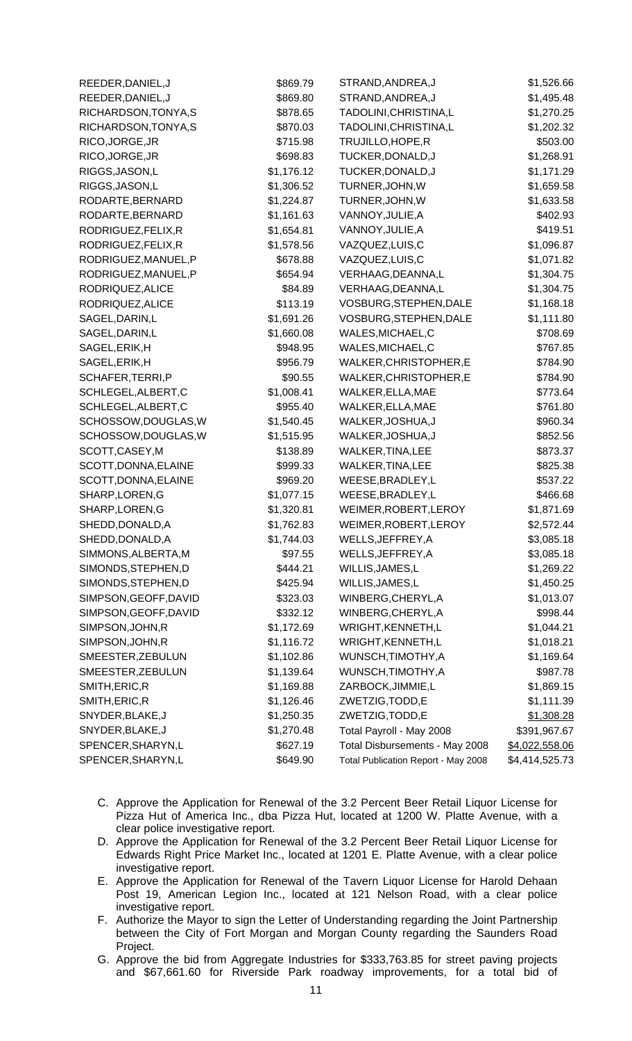| REEDER, DANIEL, J     | \$869.79   | STRAND, ANDREA, J                   | \$1,526.66     |
|-----------------------|------------|-------------------------------------|----------------|
| REEDER, DANIEL, J     | \$869.80   | STRAND, ANDREA, J                   | \$1,495.48     |
| RICHARDSON, TONYA, S  | \$878.65   | TADOLINI, CHRISTINA, L              | \$1,270.25     |
| RICHARDSON, TONYA, S  | \$870.03   | TADOLINI, CHRISTINA, L              | \$1,202.32     |
| RICO, JORGE, JR       | \$715.98   | TRUJILLO, HOPE, R                   | \$503.00       |
| RICO, JORGE, JR       | \$698.83   | TUCKER, DONALD, J                   | \$1,268.91     |
| RIGGS, JASON, L       | \$1,176.12 | TUCKER, DONALD, J                   | \$1,171.29     |
| RIGGS, JASON, L       | \$1,306.52 | TURNER, JOHN, W                     | \$1,659.58     |
| RODARTE, BERNARD      | \$1,224.87 | TURNER, JOHN, W                     | \$1,633.58     |
| RODARTE, BERNARD      | \$1,161.63 | VANNOY, JULIE, A                    | \$402.93       |
| RODRIGUEZ, FELIX, R   | \$1,654.81 | VANNOY, JULIE, A                    | \$419.51       |
| RODRIGUEZ, FELIX, R   | \$1,578.56 | VAZQUEZ,LUIS,C                      | \$1,096.87     |
| RODRIGUEZ, MANUEL, P  | \$678.88   | VAZQUEZ,LUIS,C                      | \$1,071.82     |
| RODRIGUEZ, MANUEL, P  | \$654.94   | VERHAAG, DEANNA, L                  | \$1,304.75     |
| RODRIQUEZ, ALICE      | \$84.89    | VERHAAG, DEANNA, L                  | \$1,304.75     |
| RODRIQUEZ, ALICE      | \$113.19   | VOSBURG, STEPHEN, DALE              | \$1,168.18     |
| SAGEL, DARIN, L       | \$1,691.26 | VOSBURG, STEPHEN, DALE              | \$1,111.80     |
| SAGEL, DARIN, L       | \$1,660.08 | WALES, MICHAEL, C                   | \$708.69       |
| SAGEL, ERIK, H        | \$948.95   | WALES, MICHAEL, C                   | \$767.85       |
| SAGEL, ERIK, H        | \$956.79   | WALKER, CHRISTOPHER, E              | \$784.90       |
| SCHAFER, TERRI, P     | \$90.55    | WALKER, CHRISTOPHER, E              | \$784.90       |
| SCHLEGEL, ALBERT, C   | \$1,008.41 | WALKER, ELLA, MAE                   | \$773.64       |
| SCHLEGEL, ALBERT, C   | \$955.40   | WALKER, ELLA, MAE                   | \$761.80       |
| SCHOSSOW, DOUGLAS, W  | \$1,540.45 | WALKER, JOSHUA, J                   | \$960.34       |
| SCHOSSOW, DOUGLAS, W  | \$1,515.95 | WALKER, JOSHUA, J                   | \$852.56       |
| SCOTT, CASEY, M       | \$138.89   | WALKER, TINA, LEE                   | \$873.37       |
| SCOTT, DONNA, ELAINE  | \$999.33   | WALKER, TINA, LEE                   | \$825.38       |
| SCOTT, DONNA, ELAINE  | \$969.20   | WEESE, BRADLEY, L                   | \$537.22       |
| SHARP, LOREN, G       | \$1,077.15 | WEESE, BRADLEY, L                   | \$466.68       |
| SHARP, LOREN, G       | \$1,320.81 | WEIMER, ROBERT, LEROY               | \$1,871.69     |
| SHEDD, DONALD, A      | \$1,762.83 | WEIMER, ROBERT, LEROY               | \$2,572.44     |
| SHEDD, DONALD, A      | \$1,744.03 | WELLS, JEFFREY, A                   | \$3,085.18     |
| SIMMONS, ALBERTA, M   | \$97.55    | WELLS, JEFFREY, A                   | \$3,085.18     |
| SIMONDS, STEPHEN, D   | \$444.21   | WILLIS, JAMES, L                    | \$1,269.22     |
| SIMONDS, STEPHEN, D   | \$425.94   | WILLIS, JAMES, L                    | \$1,450.25     |
| SIMPSON, GEOFF, DAVID | \$323.03   | WINBERG, CHERYL, A                  | \$1,013.07     |
| SIMPSON, GEOFF, DAVID | \$332.12   | WINBERG, CHERYL, A                  | \$998.44       |
| SIMPSON, JOHN, R      | \$1,172.69 | WRIGHT, KENNETH, L                  | \$1,044.21     |
| SIMPSON, JOHN, R      | \$1,116.72 | WRIGHT, KENNETH, L                  | \$1,018.21     |
| SMEESTER, ZEBULUN     | \$1,102.86 | WUNSCH, TIMOTHY, A                  | \$1,169.64     |
| SMEESTER, ZEBULUN     | \$1,139.64 | WUNSCH, TIMOTHY, A                  | \$987.78       |
| SMITH, ERIC, R        | \$1,169.88 | ZARBOCK, JIMMIE, L                  | \$1,869.15     |
| SMITH, ERIC, R        | \$1,126.46 | ZWETZIG, TODD, E                    | \$1,111.39     |
| SNYDER, BLAKE, J      | \$1,250.35 | ZWETZIG, TODD, E                    | \$1,308.28     |
| SNYDER, BLAKE, J      | \$1,270.48 | Total Payroll - May 2008            | \$391,967.67   |
| SPENCER, SHARYN, L    | \$627.19   | Total Disbursements - May 2008      | \$4,022,558.06 |
| SPENCER, SHARYN, L    | \$649.90   | Total Publication Report - May 2008 | \$4,414,525.73 |

- C. Approve the Application for Renewal of the 3.2 Percent Beer Retail Liquor License for Pizza Hut of America Inc., dba Pizza Hut, located at 1200 W. Platte Avenue, with a clear police investigative report.
- D. Approve the Application for Renewal of the 3.2 Percent Beer Retail Liquor License for Edwards Right Price Market Inc., located at 1201 E. Platte Avenue, with a clear police investigative report.
- E. Approve the Application for Renewal of the Tavern Liquor License for Harold Dehaan Post 19, American Legion Inc., located at 121 Nelson Road, with a clear police investigative report.
- F. Authorize the Mayor to sign the Letter of Understanding regarding the Joint Partnership between the City of Fort Morgan and Morgan County regarding the Saunders Road Project.
- G. Approve the bid from Aggregate Industries for \$333,763.85 for street paving projects and \$67,661.60 for Riverside Park roadway improvements, for a total bid of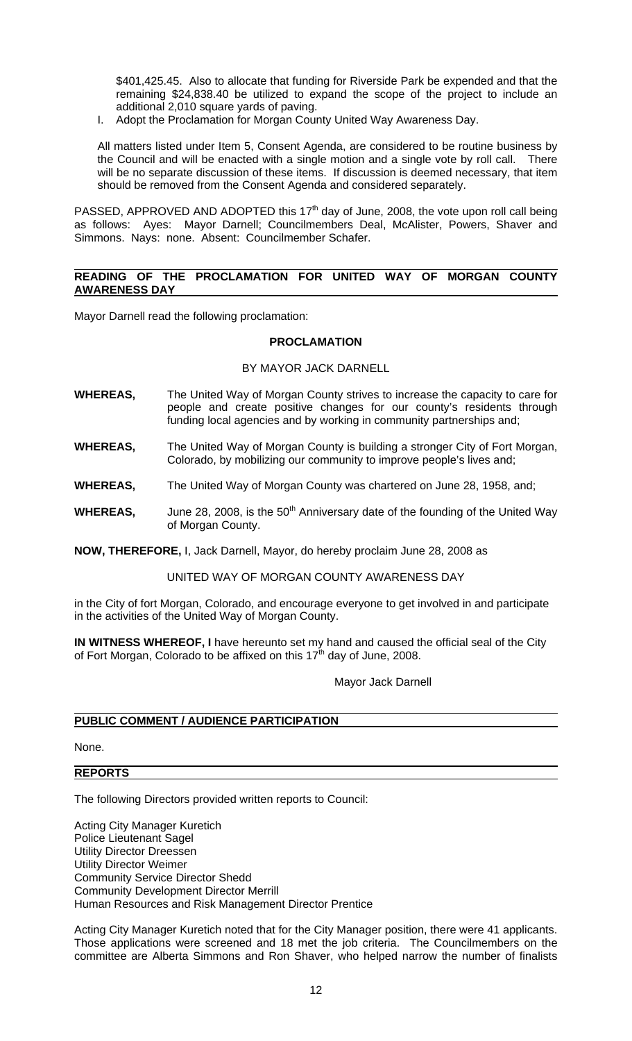\$401,425.45. Also to allocate that funding for Riverside Park be expended and that the remaining \$24,838.40 be utilized to expand the scope of the project to include an additional 2,010 square yards of paving.

I. Adopt the Proclamation for Morgan County United Way Awareness Day.

All matters listed under Item 5, Consent Agenda, are considered to be routine business by the Council and will be enacted with a single motion and a single vote by roll call. There will be no separate discussion of these items. If discussion is deemed necessary, that item should be removed from the Consent Agenda and considered separately.

PASSED, APPROVED AND ADOPTED this 17<sup>th</sup> day of June, 2008, the vote upon roll call being as follows: Ayes: Mayor Darnell; Councilmembers Deal, McAlister, Powers, Shaver and Simmons. Nays: none. Absent: Councilmember Schafer.

#### **READING OF THE PROCLAMATION FOR UNITED WAY OF MORGAN COUNTY AWARENESS DAY**

Mayor Darnell read the following proclamation:

## **PROCLAMATION**

## BY MAYOR JACK DARNELL

- **WHEREAS,** The United Way of Morgan County strives to increase the capacity to care for people and create positive changes for our county's residents through funding local agencies and by working in community partnerships and;
- **WHEREAS,** The United Way of Morgan County is building a stronger City of Fort Morgan, Colorado, by mobilizing our community to improve people's lives and;
- **WHEREAS,** The United Way of Morgan County was chartered on June 28, 1958, and;
- **WHEREAS,** June 28, 2008, is the 50<sup>th</sup> Anniversary date of the founding of the United Way of Morgan County.

**NOW, THEREFORE,** I, Jack Darnell, Mayor, do hereby proclaim June 28, 2008 as

## UNITED WAY OF MORGAN COUNTY AWARENESS DAY

in the City of fort Morgan, Colorado, and encourage everyone to get involved in and participate in the activities of the United Way of Morgan County.

**IN WITNESS WHEREOF, I** have hereunto set my hand and caused the official seal of the City of Fort Morgan, Colorado to be affixed on this  $17<sup>th</sup>$  day of June, 2008.

Mayor Jack Darnell

# **PUBLIC COMMENT / AUDIENCE PARTICIPATION**

None.

## **REPORTS**

The following Directors provided written reports to Council:

Acting City Manager Kuretich Police Lieutenant Sagel Utility Director Dreessen Utility Director Weimer Community Service Director Shedd Community Development Director Merrill Human Resources and Risk Management Director Prentice

Acting City Manager Kuretich noted that for the City Manager position, there were 41 applicants. Those applications were screened and 18 met the job criteria. The Councilmembers on the committee are Alberta Simmons and Ron Shaver, who helped narrow the number of finalists